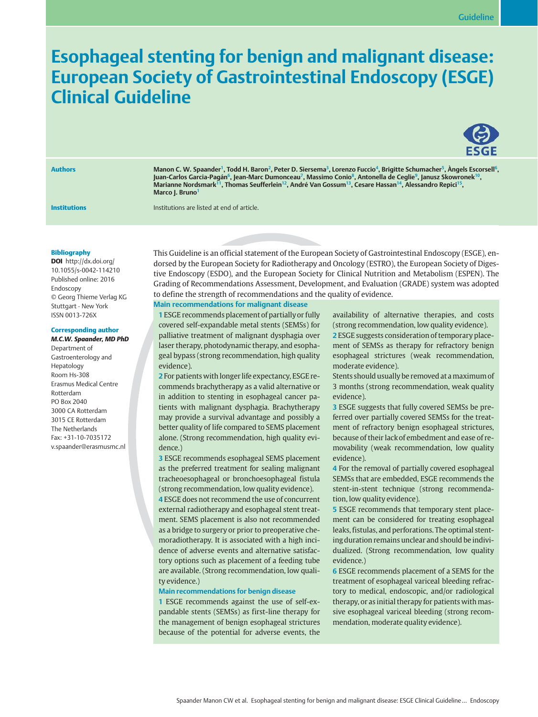# Esophageal stenting for benign and malignant disease: European Society of Gastrointestinal Endoscopy (ESGE) Clinical Guideline



Authors Manon C. W. Spaander<sup>1</sup>, Todd H. Baron<sup>2</sup>, Peter D. Siersema<sup>3</sup>, Lorenzo Fuccio<sup>4</sup>, Brigitte Schumacher<sup>5</sup>, Àngels Escorsell<sup>6</sup>, Juan-Carlos Garcia-Pagán $^6$ , Jean-Marc Dumonceau $^7$ , Massimo Conio $^8$ , Antonella de Ceglie $^9$ , Janusz Skowronek $^{10}$ , Marianne Nordsmark $^{11}$ , Thomas Seufferlein $^{12}$ , André Van Gossum $^{13}$ , Cesare Hassan $^{14}$ , Alessandro Repici $^{15}$ , Marco J. Bruno<sup>1</sup>

**Institutions Institutions Institutions** are listed at end of article.

#### Bibliography

DOI http://dx.doi.org/ 10.1055/s-0042-114210 Published online: 2016 Endoscopy © Georg Thieme Verlag KG Stuttgart · New York ISSN 0013-726X

#### Corresponding author

M.C.W. Spaander, MD PhD Department of Gastroenterology and Hepatology Room Hs-308 Erasmus Medical Centre Rotterdam PO Box 2040 3000 CA Rotterdam 3015 CE Rotterdam The Netherlands Fax: +31-10-7035172 v.spaander@erasmusmc.nl

This Guideline is an official statement of the European Society of Gastrointestinal Endoscopy (ESGE), endorsed by the European Society for Radiotherapy and Oncology (ESTRO), the European Society of Digestive Endoscopy (ESDO), and the European Society for Clinical Nutrition and Metabolism (ESPEN). The Grading of Recommendations Assessment, Development, and Evaluation (GRADE) system was adopted to define the strength of recommendations and the quality of evidence.

#### Main recommendations for malignant disease

1 ESGE recommends placement of partially or fully covered self-expandable metal stents (SEMSs) for palliative treatment of malignant dysphagia over laser therapy, photodynamic therapy, and esophageal bypass (strong recommendation, high quality evidence).

2 For patients with longer life expectancy, ESGE recommends brachytherapy as a valid alternative or in addition to stenting in esophageal cancer patients with malignant dysphagia. Brachytherapy may provide a survival advantage and possibly a better quality of life compared to SEMS placement alone. (Strong recommendation, high quality evidence.)

3 ESGE recommends esophageal SEMS placement as the preferred treatment for sealing malignant tracheoesophageal or bronchoesophageal fistula (strong recommendation, low quality evidence).

4 ESGE does not recommend the use of concurrent external radiotherapy and esophageal stent treatment. SEMS placement is also not recommended as a bridge to surgery or prior to preoperative chemoradiotherapy. It is associated with a high incidence of adverse events and alternative satisfactory options such as placement of a feeding tube are available. (Strong recommendation, low quality evidence.)

#### Main recommendations for benign disease

1 ESGE recommends against the use of self-expandable stents (SEMSs) as first-line therapy for the management of benign esophageal strictures because of the potential for adverse events, the

availability of alternative therapies, and costs (strong recommendation, low quality evidence). 2 ESGE suggests consideration of temporary placement of SEMSs as therapy for refractory benign esophageal strictures (weak recommendation, moderate evidence).

Stents should usually be removed at a maximum of 3 months (strong recommendation, weak quality evidence).

3 ESGE suggests that fully covered SEMSs be preferred over partially covered SEMSs for the treatment of refractory benign esophageal strictures, because of their lack of embedment and ease of removability (weak recommendation, low quality evidence).

4 For the removal of partially covered esophageal SEMSs that are embedded, ESGE recommends the stent-in-stent technique (strong recommendation, low quality evidence).

5 ESGE recommends that temporary stent placement can be considered for treating esophageal leaks, fistulas, and perforations. The optimal stenting duration remains unclear and should be individualized. (Strong recommendation, low quality evidence.)

6 ESGE recommends placement of a SEMS for the treatment of esophageal variceal bleeding refractory to medical, endoscopic, and/or radiological therapy, or as initial therapy for patients with massive esophageal variceal bleeding (strong recommendation, moderate quality evidence).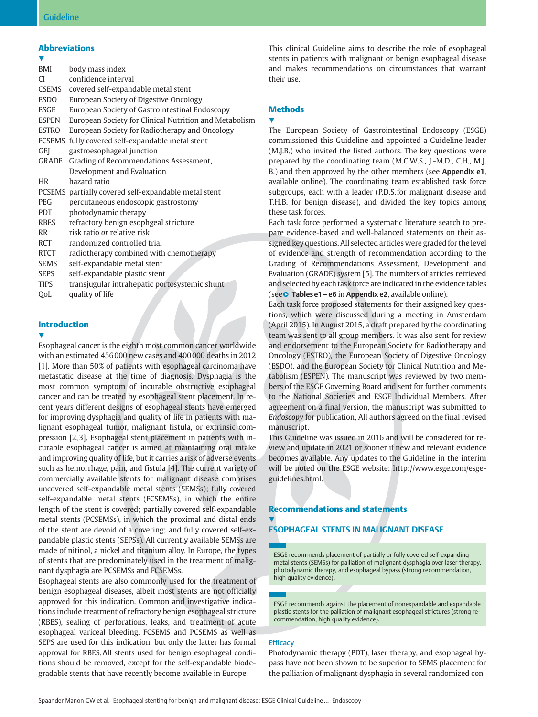## Abbreviations

| <b>BMI</b>    | body mass index                                        |
|---------------|--------------------------------------------------------|
| <sup>CI</sup> | confidence interval                                    |
| CSEMS         | covered self-expandable metal stent                    |
| <b>ESDO</b>   | European Society of Digestive Oncology                 |
| <b>ESGE</b>   | European Society of Gastrointestinal Endoscopy         |
| <b>ESPEN</b>  | European Society for Clinical Nutrition and Metabolism |
| ESTRO         | European Society for Radiotherapy and Oncology         |
| <b>FCSEMS</b> | fully covered self-expandable metal stent              |
| <b>GEI</b>    | gastroesophageal junction                              |
| <b>GRADE</b>  | Grading of Recommendations Assessment,                 |
|               | Development and Evaluation                             |
| <b>HR</b>     | hazard ratio                                           |
|               | PCSEMS partially covered self-expandable metal stent   |
| <b>PEG</b>    | percutaneous endoscopic gastrostomy                    |
| <b>PDT</b>    | photodynamic therapy                                   |
| <b>RBES</b>   | refractory benign esophgeal stricture                  |
| <b>RR</b>     | risk ratio or relative risk                            |
| <b>RCT</b>    | randomized controlled trial                            |
| <b>RTCT</b>   | radiotherapy combined with chemotherapy                |
| <b>SEMS</b>   | self-expandable metal stent                            |
| <b>SEPS</b>   | self-expandable plastic stent                          |
| <b>TIPS</b>   | transjugular intrahepatic portosystemic shunt          |
| OoL           | quality of life                                        |

# Introduction

v,

Esophageal cancer is the eighth most common cancer worldwide with an estimated 456 000 new cases and 400 000 deaths in 2012 [1]. More than 50% of patients with esophageal carcinoma have metastatic disease at the time of diagnosis. Dysphagia is the most common symptom of incurable obstructive esophageal cancer and can be treated by esophageal stent placement. In recent years different designs of esophageal stents have emerged for improving dysphagia and quality of life in patients with malignant esophageal tumor, malignant fistula, or extrinsic compression [2, 3]. Esophageal stent placement in patients with incurable esophageal cancer is aimed at maintaining oral intake and improving quality of life, but it carries a risk of adverse events such as hemorrhage, pain, and fistula [4]. The current variety of commercially available stents for malignant disease comprises uncovered self-expandable metal stents (SEMSs); fully covered self-expandable metal stents (FCSEMSs), in which the entire length of the stent is covered; partially covered self-expandable metal stents (PCSEMSs), in which the proximal and distal ends of the stent are devoid of a covering; and fully covered self-expandable plastic stents (SEPSs). All currently available SEMSs are made of nitinol, a nickel and titanium alloy. In Europe, the types of stents that are predominately used in the treatment of malignant dysphagia are PCSEMSs and FCSEMSs.

Esophageal stents are also commonly used for the treatment of benign esophageal diseases, albeit most stents are not officially approved for this indication. Common and investigative indications include treatment of refractory benign esophageal stricture (RBES), sealing of perforations, leaks, and treatment of acute esophageal variceal bleeding. FCSEMS and PCSEMS as well as SEPS are used for this indication, but only the latter has formal approval for RBES.All stents used for benign esophageal conditions should be removed, except for the self-expandable biodegradable stents that have recently become available in Europe.

This clinical Guideline aims to describe the role of esophageal stents in patients with malignant or benign esophageal disease and makes recommendations on circumstances that warrant their use.

# **Methods**

**V** 

The European Society of Gastrointestinal Endoscopy (ESGE) commissioned this Guideline and appointed a Guideline leader (M.J.B.) who invited the listed authors. The key questions were prepared by the coordinating team (M.C.W.S., J.-M.D., C.H., M.J. B.) and then approved by the other members (see Appendix e1, available online). The coordinating team established task force subgroups, each with a leader (P.D.S. for malignant disease and T.H.B. for benign disease), and divided the key topics among these task forces.

Each task force performed a systematic literature search to prepare evidence-based and well-balanced statements on their assigned key questions. All selected articles were graded for thelevel of evidence and strength of recommendation according to the Grading of Recommendations Assessment, Development and Evaluation (GRADE) system [5]. The numbers of articles retrieved and selected by each task force are indicated in the evidence tables (see **• Tables e1 – e6** in **Appendix e2**, available online).

Each task force proposed statements for their assigned key questions, which were discussed during a meeting in Amsterdam (April 2015). In August 2015, a draft prepared by the coordinating team was sent to all group members. It was also sent for review and endorsement to the European Society for Radiotherapy and Oncology (ESTRO), the European Society of Digestive Oncology (ESDO), and the European Society for Clinical Nutrition and Metabolism (ESPEN). The manuscript was reviewed by two members of the ESGE Governing Board and sent for further comments to the National Societies and ESGE Individual Members. After agreement on a final version, the manuscript was submitted to Endoscopy for publication, All authors agreed on the final revised manuscript.

This Guideline was issued in 2016 and will be considered for review and update in 2021 or sooner if new and relevant evidence becomes available. Any updates to the Guideline in the interim will be noted on the ESGE website: http://www.esge.com/esgeguidelines.html.

#### Recommendations and statements

# ESOPHAGEAL STENTS IN MALIGNANT DISEASE

ESGE recommends placement of partially or fully covered self-expanding metal stents (SEMSs) for palliation of malignant dysphagia over laser therapy, photodynamic therapy, and esophageal bypass (strong recommendation, high quality evidence).

ESGE recommends against the placement of nonexpandable and expandable plastic stents for the palliation of malignant esophageal strictures (strong recommendation, high quality evidence).

#### **Efficacy**

 $\blacktriangledown$ 

Photodynamic therapy (PDT), laser therapy, and esophageal bypass have not been shown to be superior to SEMS placement for the palliation of malignant dysphagia in several randomized con-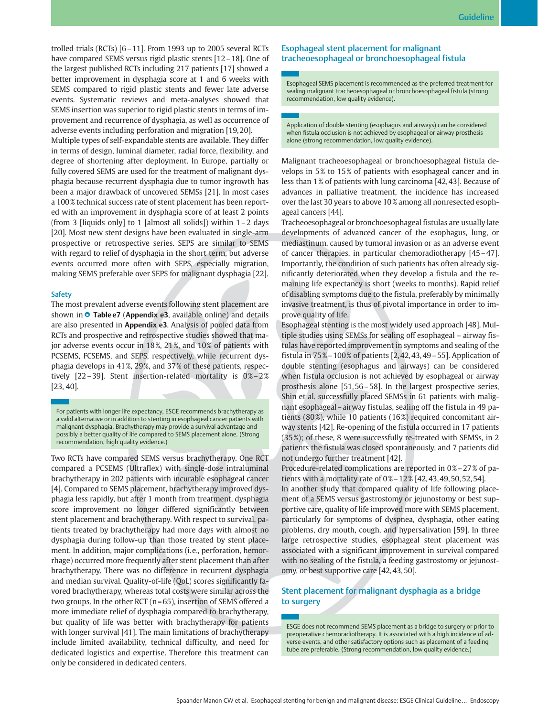trolled trials (RCTs) [6–11]. From 1993 up to 2005 several RCTs have compared SEMS versus rigid plastic stents [12 – 18]. One of the largest published RCTs including 217 patients [17] showed a better improvement in dysphagia score at 1 and 6 weeks with SEMS compared to rigid plastic stents and fewer late adverse events. Systematic reviews and meta-analyses showed that SEMS insertion was superior to rigid plastic stents in terms of improvement and recurrence of dysphagia, as well as occurrence of adverse events including perforation and migration [19, 20].

Multiple types of self-expandable stents are available. They differ in terms of design, luminal diameter, radial force, flexibility, and degree of shortening after deployment. In Europe, partially or fully covered SEMS are used for the treatment of malignant dysphagia because recurrent dysphagia due to tumor ingrowth has been a major drawback of uncovered SEMSs [21]. In most cases a 100 % technical success rate of stent placement has been reported with an improvement in dysphagia score of at least 2 points (from 3 [liquids only] to 1 [almost all solids]) within 1–2 days [20]. Most new stent designs have been evaluated in single-arm prospective or retrospective series. SEPS are similar to SEMS with regard to relief of dysphagia in the short term, but adverse events occurred more often with SEPS, especially migration, making SEMS preferable over SEPS for malignant dysphagia [22].

#### **Safety**

The most prevalent adverse events following stent placement are shown in **© Tablee7** (<mark>Appendix e3</mark>, available online) and details are also presented in Appendix e3. Analysis of pooled data from RCTs and prospective and retrospective studies showed that major adverse events occur in 18%, 21%, and 10% of patients with PCSEMS, FCSEMS, and SEPS, respectively, while recurrent dysphagia develops in 41 %, 29 %, and 37 % of these patients, respectively  $[22-39]$ . Stent insertion-related mortality is  $0\% - 2\%$ [23, 40].

For patients with longer life expectancy, ESGE recommends brachytherapy as a valid alternative or in addition to stenting in esophageal cancer patients with malignant dysphagia. Brachytherapy may provide a survival advantage and possibly a better quality of life compared to SEMS placement alone. (Strong recommendation, high quality evidence.)

Two RCTs have compared SEMS versus brachytherapy. One RCT compared a PCSEMS (Ultraflex) with single-dose intraluminal brachytherapy in 202 patients with incurable esophageal cancer [4]. Compared to SEMS placement, brachytherapy improved dysphagia less rapidly, but after 1 month from treatment, dysphagia score improvement no longer differed significantly between stent placement and brachytherapy. With respect to survival, patients treated by brachytherapy had more days with almost no dysphagia during follow-up than those treated by stent placement. In addition, major complications (i. e., perforation, hemorrhage) occurred more frequently after stent placement than after brachytherapy. There was no difference in recurrent dysphagia and median survival. Quality-of-life (QoL) scores significantly favored brachytherapy, whereas total costs were similar across the two groups. In the other RCT  $(n=65)$ , insertion of SEMS offered a more immediate relief of dysphagia compared to brachytherapy, but quality of life was better with brachytherapy for patients with longer survival [41]. The main limitations of brachytherapy include limited availability, technical difficulty, and need for dedicated logistics and expertise. Therefore this treatment can only be considered in dedicated centers.

# Esophageal stent placement for malignant tracheoesophageal or bronchoesophageal fistula

Esophageal SEMS placement is recommended as the preferred treatment for sealing malignant tracheoesophageal or bronchoesophageal fistula (strong recommendation, low quality evidence).

Application of double stenting (esophagus and airways) can be considered when fistula occlusion is not achieved by esophageal or airway prosthesis alone (strong recommendation, low quality evidence).

Malignant tracheoesophageal or bronchoesophageal fistula develops in 5% to 15% of patients with esophageal cancer and in less than 1 % of patients with lung carcinoma [42, 43]. Because of advances in palliative treatment, the incidence has increased over the last 30 years to above 10 % among all nonresected esophageal cancers [44].

Tracheoesophageal or bronchoesophageal fistulas are usually late developments of advanced cancer of the esophagus, lung, or mediastinum, caused by tumoral invasion or as an adverse event of cancer therapies, in particular chemoradiotherapy [45–47]. Importantly, the condition of such patients has often already significantly deteriorated when they develop a fistula and the remaining life expectancy is short (weeks to months). Rapid relief of disabling symptoms due to the fistula, preferably by minimally invasive treatment, is thus of pivotal importance in order to improve quality of life.

Esophageal stenting is the most widely used approach [48]. Multiple studies using SEMSs for sealing off esophageal – airway fistulas have reported improvement in symptoms and sealing of the fistula in 75 %–100 % of patients [2, 42, 43, 49–55]. Application of double stenting (esophagus and airways) can be considered when fistula occlusion is not achieved by esophageal or airway prosthesis alone [51, 56–58]. In the largest prospective series, Shin et al. successfully placed SEMSs in 61 patients with malignant esophageal–airway fistulas, sealing off the fistula in 49 patients (80 %), while 10 patients (16 %) required concomitant airway stents [42]. Re-opening of the fistula occurred in 17 patients (35 %); of these, 8 were successfully re-treated with SEMSs, in 2 patients the fistula was closed spontaneously, and 7 patients did not undergo further treatment [42].

Procedure-related complications are reported in 0%-27% of patients with a mortality rate of 0 %–12 % [42, 43, 49, 50, 52, 54].

In another study that compared quality of life following placement of a SEMS versus gastrostomy or jejunostomy or best supportive care, quality of life improved more with SEMS placement, particularly for symptoms of dyspnea, dysphagia, other eating problems, dry mouth, cough, and hypersalivation [59]. In three large retrospective studies, esophageal stent placement was associated with a significant improvement in survival compared with no sealing of the fistula, a feeding gastrostomy or jejunostomy, or best supportive care [42, 43, 50].

# Stent placement for malignant dysphagia as a bridge to surgery

ESGE does not recommend SEMS placement as a bridge to surgery or prior to preoperative chemoradiotherapy. It is associated with a high incidence of adverse events, and other satisfactory options such as placement of a feeding tube are preferable. (Strong recommendation, low quality evidence.)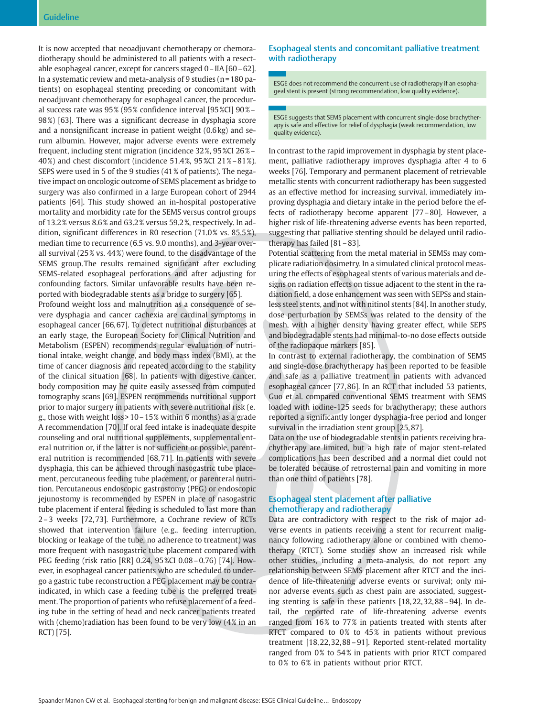It is now accepted that neoadjuvant chemotherapy or chemoradiotherapy should be administered to all patients with a resectable esophageal cancer, except for cancers staged 0–IIA [60–62]. In a systematic review and meta-analysis of 9 studies ( $n = 180$  patients) on esophageal stenting preceding or concomitant with neoadjuvant chemotherapy for esophageal cancer, the procedural success rate was 95 % (95 % confidence interval [95 %CI] 90 %– 98 %) [63]. There was a significant decrease in dysphagia score and a nonsignificant increase in patient weight (0.6 kg) and serum albumin. However, major adverse events were extremely frequent, including stent migration (incidence 32 %, 95 %CI 26 %– 40 %) and chest discomfort (incidence 51.4 %, 95 %CI 21 %–81 %). SEPS were used in 5 of the 9 studies (41 % of patients). The negative impact on oncologic outcome of SEMS placement as bridge to surgery was also confirmed in a large European cohort of 2944 patients [64]. This study showed an in-hospital postoperative mortality and morbidity rate for the SEMS versus control groups of 13.2 % versus 8.6 % and 63.2 % versus 59.2 %, respectively. In addition, significant differences in R0 resection (71.0% vs. 85.5%), median time to recurrence (6.5 vs. 9.0 months), and 3-year overall survival (25 % vs. 44 %) were found, to the disadvantage of the SEMS group. The results remained significant after excluding SEMS-related esophageal perforations and after adjusting for confounding factors. Similar unfavorable results have been reported with biodegradable stents as a bridge to surgery [65].

Profound weight loss and malnutrition as a consequence of severe dysphagia and cancer cachexia are cardinal symptoms in esophageal cancer [66, 67]. To detect nutritional disturbances at an early stage, the European Society for Clinical Nutrition and Metabolism (ESPEN) recommends regular evaluation of nutritional intake, weight change, and body mass index (BMI), at the time of cancer diagnosis and repeated according to the stability of the clinical situation [68]. In patients with digestive cancer, body composition may be quite easily assessed from computed tomography scans [69]. ESPEN recommends nutritional support prior to major surgery in patients with severe nutritional risk (e. g., those with weight loss > 10–15 % within 6 months) as a grade A recommendation [70]. If oral feed intake is inadequate despite counseling and oral nutritional supplements, supplemental enteral nutrition or, if the latter is not sufficient or possible, parenteral nutrition is recommended [68, 71]. In patients with severe dysphagia, this can be achieved through nasogastric tube placement, percutaneous feeding tube placement, or parenteral nutrition. Percutaneous endoscopic gastrostomy (PEG) or endoscopic jejunostomy is recommended by ESPEN in place of nasogastric tube placement if enteral feeding is scheduled to last more than 2–3 weeks [72, 73]. Furthermore, a Cochrane review of RCTs showed that intervention failure (e.g., feeding interruption, blocking or leakage of the tube, no adherence to treatment) was more frequent with nasogastric tube placement compared with PEG feeding (risk ratio [RR] 0.24, 95 %CI 0.08–0.76) [74]. However, in esophageal cancer patients who are scheduled to undergo a gastric tube reconstruction a PEG placement may be contraindicated, in which case a feeding tube is the preferred treatment. The proportion of patients who refuse placement of a feeding tube in the setting of head and neck cancer patients treated with (chemo)radiation has been found to be very low  $(4\%$  in an RCT) [75].

# Esophageal stents and concomitant palliative treatment with radiotherapy

ESGE does not recommend the concurrent use of radiotherapy if an esophageal stent is present (strong recommendation, low quality evidence).

ESGE suggests that SEMS placement with concurrent single-dose brachytherapy is safe and effective for relief of dysphagia (weak recommendation, low quality evidence).

In contrast to the rapid improvement in dysphagia by stent placement, palliative radiotherapy improves dysphagia after 4 to 6 weeks [76]. Temporary and permanent placement of retrievable metallic stents with concurrent radiotherapy has been suggested as an effective method for increasing survival, immediately improving dysphagia and dietary intake in the period before the effects of radiotherapy become apparent [77–80]. However, a higher risk of life-threatening adverse events has been reported, suggesting that palliative stenting should be delayed until radiotherapy has failed [81–83].

Potential scattering from the metal material in SEMSs may complicate radiation dosimetry. In a simulated clinical protocol measuring the effects of esophageal stents of various materials and designs on radiation effects on tissue adjacent to the stent in the radiation field, a dose enhancement was seen with SEPSs and stainless steel stents, and not with nitinol stents [84]. In another study, dose perturbation by SEMSs was related to the density of the mesh, with a higher density having greater effect, while SEPS and biodegradable stents had minimal-to-no dose effects outside of the radiopaque markers [85].

In contrast to external radiotherapy, the combination of SEMS and single-dose brachytherapy has been reported to be feasible and safe as a palliative treatment in patients with advanced esophageal cancer [77, 86]. In an RCT that included 53 patients, Guo et al. compared conventional SEMS treatment with SEMS loaded with iodine-125 seeds for brachytherapy; these authors reported a significantly longer dysphagia-free period and longer survival in the irradiation stent group [25, 87].

Data on the use of biodegradable stents in patients receiving brachytherapy are limited, but a high rate of major stent-related complications has been described and a normal diet could not be tolerated because of retrosternal pain and vomiting in more than one third of patients [78].

# Esophageal stent placement after palliative chemotherapy and radiotherapy

Data are contradictory with respect to the risk of major adverse events in patients receiving a stent for recurrent malignancy following radiotherapy alone or combined with chemotherapy (RTCT). Some studies show an increased risk while other studies, including a meta-analysis, do not report any relationship between SEMS placement after RTCT and the incidence of life-threatening adverse events or survival; only minor adverse events such as chest pain are associated, suggesting stenting is safe in these patients [18, 22, 32, 88–94]. In detail, the reported rate of life-threatening adverse events ranged from 16% to 77% in patients treated with stents after RTCT compared to  $0\%$  to  $45\%$  in patients without previous treatment [18, 22, 32, 88–91]. Reported stent-related mortality ranged from 0% to 54% in patients with prior RTCT compared to 0% to 6% in patients without prior RTCT.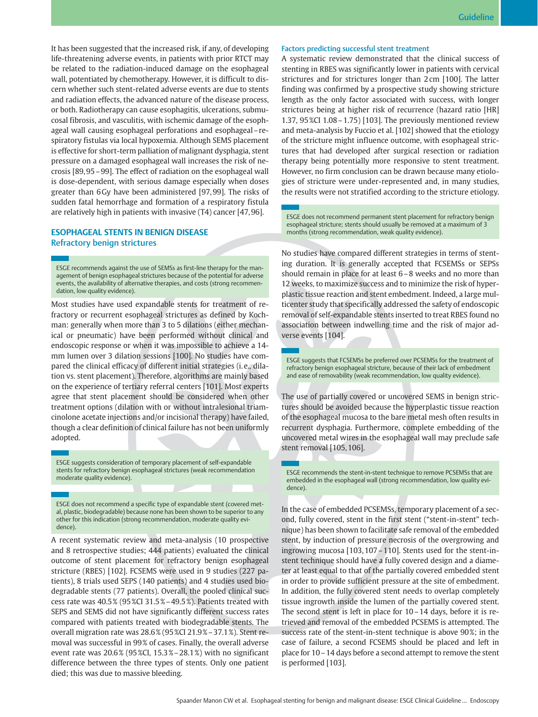It has been suggested that the increased risk, if any, of developing life-threatening adverse events, in patients with prior RTCT may be related to the radiation-induced damage on the esophageal wall, potentiated by chemotherapy. However, it is difficult to discern whether such stent-related adverse events are due to stents and radiation effects, the advanced nature of the disease process, or both. Radiotherapy can cause esophagitis, ulcerations, submucosal fibrosis, and vasculitis, with ischemic damage of the esophageal wall causing esophageal perforations and esophageal–respiratory fistulas via local hypoxemia. Although SEMS placement is effective for short-term palliation of malignant dysphagia, stent pressure on a damaged esophageal wall increases the risk of necrosis [89, 95–99]. The effect of radiation on the esophageal wall is dose-dependent, with serious damage especially when doses greater than 6Gy have been administered [97, 99]. The risks of sudden fatal hemorrhage and formation of a respiratory fistula are relatively high in patients with invasive (T4) cancer [47, 96].

# ESOPHAGEAL STENTS IN BENIGN DISEASE Refractory benign strictures

ESGE recommends against the use of SEMSs as first-line therapy for the management of benign esophageal strictures because of the potential for adverse events, the availability of alternative therapies, and costs (strong recommendation, low quality evidence).

Most studies have used expandable stents for treatment of refractory or recurrent esophageal strictures as defined by Kochman: generally when more than 3 to 5 dilations (either mechanical or pneumatic) have been performed without clinical and endoscopic response or when it was impossible to achieve a 14 mm lumen over 3 dilation sessions [100]. No studies have compared the clinical efficacy of different initial strategies (i. e., dilation vs. stent placement). Therefore, algorithms are mainly based on the experience of tertiary referral centers [101]. Most experts agree that stent placement should be considered when other treatment options (dilation with or without intralesional triamcinolone acetate injections and/or incisional therapy) have failed, though a clear definition of clinical failure has not been uniformly adopted.

ESGE suggests consideration of temporary placement of self-expandable stents for refractory benign esophageal strictures (weak recommendation moderate quality evidence).

ESGE does not recommend a specific type of expandable stent (covered metal, plastic, biodegradable) because none has been shown to be superior to any other for this indication (strong recommendation, moderate quality evidence)

A recent systematic review and meta-analysis (10 prospective and 8 retrospective studies; 444 patients) evaluated the clinical outcome of stent placement for refractory benign esophageal stricture (RBES) [102]. FCSEMS were used in 9 studies (227 patients), 8 trials used SEPS (140 patients) and 4 studies used biodegradable stents (77 patients). Overall, the pooled clinical success rate was 40.5 % (95 %CI 31.5 %–49.5 %). Patients treated with SEPS and SEMS did not have significantly different success rates compared with patients treated with biodegradable stents. The overall migration rate was 28.6 % (95 %CI 21.9 %–37.1 %). Stent removal was successful in 99 % of cases. Finally, the overall adverse event rate was 20.6 % (95 %CI, 15.3 %–28.1 %) with no significant difference between the three types of stents. Only one patient died; this was due to massive bleeding.

#### Factors predicting successful stent treatment

A systematic review demonstrated that the clinical success of stenting in RBES was significantly lower in patients with cervical strictures and for strictures longer than 2 cm [100]. The latter finding was confirmed by a prospective study showing stricture length as the only factor associated with success, with longer strictures being at higher risk of recurrence (hazard ratio [HR] 1.37, 95 %CI 1.08–1.75) [103]. The previously mentioned review and meta-analysis by Fuccio et al. [102] showed that the etiology of the stricture might influence outcome, with esophageal strictures that had developed after surgical resection or radiation therapy being potentially more responsive to stent treatment. However, no firm conclusion can be drawn because many etiologies of stricture were under-represented and, in many studies, the results were not stratified according to the stricture etiology.

ESGE does not recommend permanent stent placement for refractory benign esophageal stricture; stents should usually be removed at a maximum of 3 months (strong recommendation, weak quality evidence).

No studies have compared different strategies in terms of stenting duration. It is generally accepted that FCSEMSs or SEPSs should remain in place for at least 6–8 weeks and no more than 12 weeks, to maximize success and to minimize the risk of hyperplastic tissue reaction and stent embedment. Indeed, a large multicenter study that specifically addressed the safety of endoscopic removal of self-expandable stents inserted to treat RBES found no association between indwelling time and the risk of major adverse events [104].

ESGE suggests that FCSEMSs be preferred over PCSEMSs for the treatment of refractory benign esophageal stricture, because of their lack of embedment and ease of removability (weak recommendation, low quality evidence).

The use of partially covered or uncovered SEMS in benign strictures should be avoided because the hyperplastic tissue reaction of the esophageal mucosa to the bare metal mesh often results in recurrent dysphagia. Furthermore, complete embedding of the uncovered metal wires in the esophageal wall may preclude safe stent removal [105, 106].

ESGE recommends the stent-in-stent technique to remove PCSEMSs that are embedded in the esophageal wall (strong recommendation, low quality evidence).

In the case of embedded PCSEMSs, temporary placement of a second, fully covered, stent in the first stent ("stent-in-stent" technique) has been shown to facilitate safe removal of the embedded stent, by induction of pressure necrosis of the overgrowing and ingrowing mucosa [103, 107–110]. Stents used for the stent-instent technique should have a fully covered design and a diameter at least equal to that of the partially covered embedded stent in order to provide sufficient pressure at the site of embedment. In addition, the fully covered stent needs to overlap completely tissue ingrowth inside the lumen of the partially covered stent. The second stent is left in place for 10–14 days, before it is retrieved and removal of the embedded PCSEMS is attempted. The success rate of the stent-in-stent technique is above 90 %; in the case of failure, a second FCSEMS should be placed and left in place for 10–14 days before a second attempt to remove the stent is performed [103].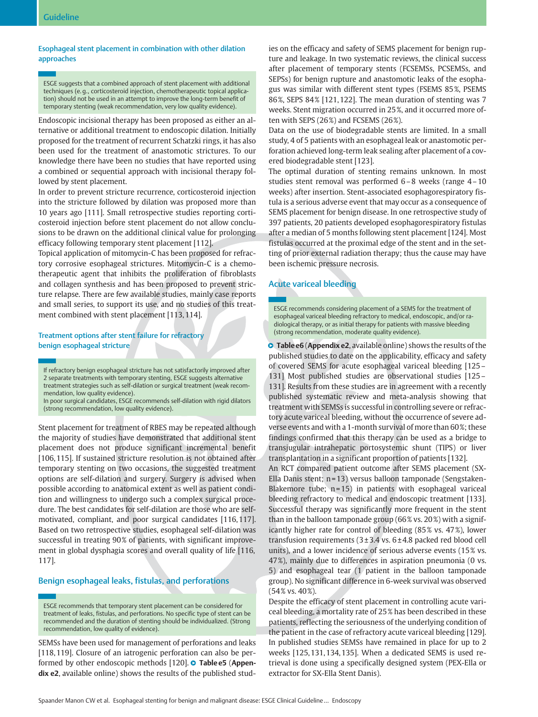#### Esophageal stent placement in combination with other dilation approaches

ESGE suggests that a combined approach of stent placement with additional techniques (e. g., corticosteroid injection, chemotherapeutic topical application) should not be used in an attempt to improve the long-term benefit of temporary stenting (weak recommendation, very low quality evidence).

Endoscopic incisional therapy has been proposed as either an alternative or additional treatment to endoscopic dilation. Initially proposed for the treatment of recurrent Schatzki rings, it has also been used for the treatment of anastomotic strictures. To our knowledge there have been no studies that have reported using a combined or sequential approach with incisional therapy followed by stent placement.

In order to prevent stricture recurrence, corticosteroid injection into the stricture followed by dilation was proposed more than 10 years ago [111]. Small retrospective studies reporting corticosteroid injection before stent placement do not allow conclusions to be drawn on the additional clinical value for prolonging efficacy following temporary stent placement [112].

Topical application of mitomycin-C has been proposed for refractory corrosive esophageal strictures. Mitomycin-C is a chemotherapeutic agent that inhibits the proliferation of fibroblasts and collagen synthesis and has been proposed to prevent stricture relapse. There are few available studies, mainly case reports and small series, to support its use, and no studies of this treatment combined with stent placement [113, 114].

#### Treatment options after stent failure for refractory benign esophageal stricture

If refractory benign esophageal stricture has not satisfactorily improved after 2 separate treatments with temporary stenting, ESGE suggests alternative treatment strategies such as self-dilation or surgical treatment (weak recommendation, low quality evidence).

In poor surgical candidates, ESGE recommends self-dilation with rigid dilators (strong recommendation, low quality evidence).

Stent placement for treatment of RBES may be repeated although the majority of studies have demonstrated that additional stent placement does not produce significant incremental benefit [106, 115]. If sustained stricture resolution is not obtained after temporary stenting on two occasions, the suggested treatment options are self-dilation and surgery. Surgery is advised when possible according to anatomical extent as well as patient condition and willingness to undergo such a complex surgical procedure. The best candidates for self-dilation are those who are selfmotivated, compliant, and poor surgical candidates [116, 117]. Based on two retrospective studies, esophageal self-dilation was successful in treating 90% of patients, with significant improvement in global dysphagia scores and overall quality of life [116, 117].

#### Benign esophageal leaks, fistulas, and perforations

ESGE recommends that temporary stent placement can be considered for treatment of leaks, fistulas, and perforations. No specific type of stent can be recommended and the duration of stenting should be individualized. (Strong recommendation, low quality of evidence).

SEMSs have been used for management of perforations and leaks [118, 119]. Closure of an iatrogenic perforation can also be performed by other endoscopic methods [120]. © Table e5 (Appendix e2, available online) shows the results of the published studies on the efficacy and safety of SEMS placement for benign rupture and leakage. In two systematic reviews, the clinical success after placement of temporary stents (FCSEMSs, PCSEMSs, and SEPSs) for benign rupture and anastomotic leaks of the esophagus was similar with different stent types (FSEMS 85 %, PSEMS 86%, SEPS 84% [121, 122]. The mean duration of stenting was 7 weeks. Stent migration occurred in 25 %, and it occurred more often with SEPS (26%) and FCSEMS (26%).

Data on the use of biodegradable stents are limited. In a small study, 4 of 5 patients with an esophageal leak or anastomotic perforation achieved long-term leak sealing after placement of a covered biodegradable stent [123].

The optimal duration of stenting remains unknown. In most studies stent removal was performed 6–8 weeks (range 4–10 weeks) after insertion. Stent-associated esophagorespiratory fistula is a serious adverse event that may occur as a consequence of SEMS placement for benign disease. In one retrospective study of 397 patients, 20 patients developed esophagorespiratory fistulas after a median of 5 months following stent placement [124]. Most fistulas occurred at the proximal edge of the stent and in the setting of prior external radiation therapy; thus the cause may have been ischemic pressure necrosis.

# Acute variceal bleeding

ESGE recommends considering placement of a SEMS for the treatment of esophageal variceal bleeding refractory to medical, endoscopic, and/or radiological therapy, or as initial therapy for patients with massive bleeding (strong recommendation, moderate quality evidence).

**O** Table e6 (Appendix e2, available online) shows the results of the published studies to date on the applicability, efficacy and safety of covered SEMS for acute esophageal variceal bleeding [125– 131] Most published studies are observational studies [125– 131]. Results from these studies are in agreement with a recently published systematic review and meta-analysis showing that treatment with SEMSs is successful in controlling severe or refractory acute variceal bleeding, without the occurrence of severe adverse events and with a 1-month survival of more than 60 %; these findings confirmed that this therapy can be used as a bridge to transjugular intrahepatic portosystemic shunt (TIPS) or liver transplantation in a significant proportion of patients [132].

An RCT compared patient outcome after SEMS placement (SX-Ella Danis stent; n = 13) versus balloon tamponade (Sengstaken-Blakemore tube;  $n = 15$ ) in patients with esophageal variceal bleeding refractory to medical and endoscopic treatment [133]. Successful therapy was significantly more frequent in the stent than in the balloon tamponade group (66 % vs. 20 %) with a significantly higher rate for control of bleeding (85% vs. 47%), lower transfusion requirements  $(3\pm3.4 \text{ vs. } 6\pm4.8 \text{ packed red blood cell})$ units), and a lower incidence of serious adverse events (15 % vs. 47 %), mainly due to differences in aspiration pneumonia (0 vs. 5) and esophageal tear (1 patient in the balloon tamponade group). No significant difference in 6-week survival was observed (54 % vs. 40 %).

Despite the efficacy of stent placement in controlling acute variceal bleeding, a mortality rate of 25 % has been described in these patients, reflecting the seriousness of the underlying condition of the patient in the case of refractory acute variceal bleeding [129]. In published studies SEMSs have remained in place for up to 2 weeks [125, 131, 134, 135]. When a dedicated SEMS is used retrieval is done using a specifically designed system (PEX-Ella or extractor for SX-Ella Stent Danis).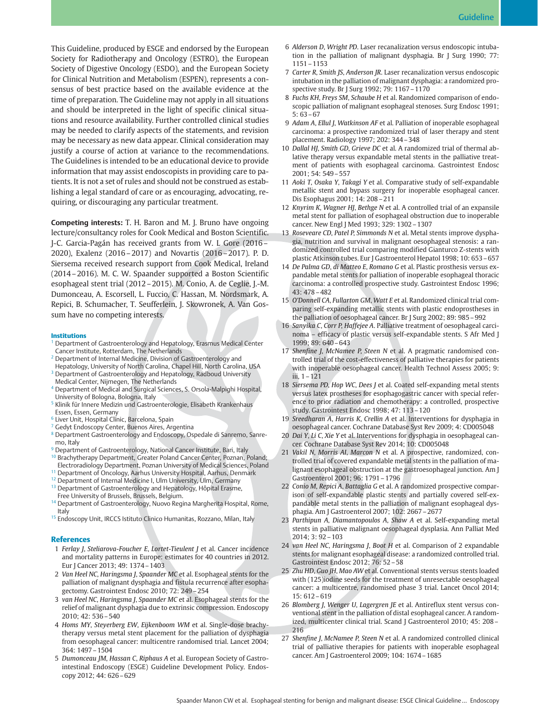This Guideline, produced by ESGE and endorsed by the European Society for Radiotherapy and Oncology (ESTRO), the European Society of Digestive Oncology (ESDO), and the European Society for Clinical Nutrition and Metabolism (ESPEN), represents a consensus of best practice based on the available evidence at the time of preparation. The Guideline may not apply in all situations and should be interpreted in the light of specific clinical situations and resource availability. Further controlled clinical studies may be needed to clarify aspects of the statements, and revision may be necessary as new data appear. Clinical consideration may justify a course of action at variance to the recommendations. The Guidelines is intended to be an educational device to provide information that may assist endoscopists in providing care to patients. It is not a set of rules and should not be construed as establishing a legal standard of care or as encouraging, advocating, requiring, or discouraging any particular treatment.

Competing interests: T. H. Baron and M. J. Bruno have ongoing lecture/consultancy roles for Cook Medical and Boston Scientific. J-C. Garcia-Pagán has received grants from W. L Gore (2016– 2020), Exalenz (2016–2017) and Novartis (2016–2017). P. D. Siersema received research support from Cook Medical, Ireland (2014–2016). M. C. W. Spaander supported a Boston Scientific esophageal stent trial (2012–2015). M. Conio, A. de Ceglie, J.-M. Dumonceau, A. Escorsell, L. Fuccio, C. Hassan, M. Nordsmark, A. Repici, B. Schumacher, T. Seufferlein, J. Skowronek, A. Van Gossum have no competing interests.

#### Institutions

- <sup>1</sup> Department of Gastroenterology and Hepatology, Erasmus Medical Center Cancer Institute, Rotterdam, The Netherlands
- <sup>2</sup> Department of Internal Medicine, Division of Gastroenterology and Hepatology, University of North Carolina, Chapel Hill, North Carolina, USA
- <sup>3</sup> Department of Gastroenterology and Hepatology, Radboud University Medical Center, Nijmegen, The Netherlands
- <sup>4</sup> Department of Medical and Surgical Sciences, S. Orsola-Malpighi Hospital, University of Bologna, Bologna, Italy
- <sup>5</sup> Klinik für Innere Medizin und Gastroenterologie, Elisabeth Krankenhaus Essen, Essen, Germany
- <sup>6</sup> Liver Unit, Hospital Clínic, Barcelona, Spain
- <sup>7</sup> Gedyt Endoscopy Center, Buenos Aires, Argentina
- <sup>8</sup> Department Gastroenterology and Endoscopy, Ospedale di Sanremo, Sanremo, Italy
- <sup>9</sup> Department of Gastroenterology, National Cancer Institute, Bari, Italy
- <sup>10</sup> Brachytherapy Department, Greater Poland Cancer Center, Poznan, Poland; Electroradiology Department, Poznan University of Medical Sciences, Poland
- <sup>11</sup> Department of Oncology, Aarhus University Hospital, Aarhus, Denmark
- <sup>12</sup> Department of Internal Medicine I, Ulm University, Ulm, Germany <sup>13</sup> Department of Gastroenterology and Hepatology, Hôpital Erasme, Free University of Brussels, Brussels, Belgium.
- <sup>14</sup> Department of Gastroenterology, Nuovo Regina Margherita Hospital, Rome, Italy
- <sup>15</sup> Endoscopy Unit, IRCCS Istituto Clinico Humanitas, Rozzano, Milan, Italy

#### **References**

- 1 Ferlay J, Steliarova-Foucher E, Lortet-Tieulent J et al. Cancer incidence and mortality patterns in Europe: estimates for 40 countries in 2012. Eur J Cancer 2013; 49: 1374–1403
- 2 Van Heel NC, Haringsma J, Spaander MC et al. Esophageal stents for the palliation of malignant dysphagia and fistula recurrence after esophagectomy. Gastrointest Endosc 2010; 72: 249–254
- 3 van Heel NC, Haringsma J, Spaander MC et al. Esophageal stents for the relief of malignant dysphagia due to extrinsic compression. Endoscopy 2010; 42: 536–540
- 4 Homs MY, Steyerberg EW, Eijkenboom WM et al. Single-dose brachytherapy versus metal stent placement for the palliation of dysphagia from oesophageal cancer: multicentre randomised trial. Lancet 2004; 364: 1497–1504
- 5 Dumonceau JM, Hassan C, Riphaus A et al. European Society of Gastrointestinal Endoscopy (ESGE) Guideline Development Policy. Endoscopy 2012; 44: 626–629
- 6 Alderson D, Wright PD. Laser recanalization versus endoscopic intubation in the palliation of malignant dysphagia. Br J Surg 1990; 77: 1151–1153
- 7 Carter R, Smith JS, Anderson JR. Laser recanalization versus endoscopic intubation in the palliation of malignant dysphagia: a randomized prospective study. Br J Surg 1992; 79: 1167–1170
- 8 Fuchs KH, Freys SM, Schaube H et al. Randomized comparison of endoscopic palliation of malignant esophageal stenoses. Surg Endosc 1991; 5: 63–67
- 9 Adam A, Ellul J, Watkinson AF et al. Palliation of inoperable esophageal carcinoma: a prospective randomized trial of laser therapy and stent placement. Radiology 1997; 202: 344–348
- 10 Dallal HJ, Smith GD, Grieve DC et al. A randomized trial of thermal ablative therapy versus expandable metal stents in the palliative treatment of patients with esophageal carcinoma. Gastrointest Endosc 2001; 54: 549–557
- 11 Aoki T, Osaka Y, Takagi Y et al. Comparative study of self-expandable metallic stent and bypass surgery for inoperable esophageal cancer. Dis Esophagus 2001; 14: 208–211
- 12 Knyrim K, Wagner HJ, Bethge N et al. A controlled trial of an expansile metal stent for palliation of esophageal obstruction due to inoperable cancer. New Engl J Med 1993; 329: 1302–1307
- 13 Roseveare CD, Patel P, Simmonds N et al. Metal stents improve dysphagia, nutrition and survival in malignant oesophageal stenosis: a randomized controlled trial comparing modified Gianturco Z-stents with plastic Atkinson tubes. Eur J Gastroenterol Hepatol 1998; 10: 653–657
- 14 De Palma GD, di Matteo E, Romano G et al. Plastic prosthesis versus expandable metal stents for palliation of inoperable esophageal thoracic carcinoma: a controlled prospective study. Gastrointest Endosc 1996; 43: 478–482
- 15 O'Donnell CA, Fullarton GM, Watt E et al. Randomized clinical trial comparing self-expanding metallic stents with plastic endoprostheses in the palliation of oesophageal cancer. Br J Surg 2002; 89: 985–992
- 16 Sanyika C, Corr P, Haffejee A. Palliative treatment of oesophageal carcinoma – efficacy of plastic versus self-expandable stents. S Afr Med J 1999; 89: 640–643
- 17 Shenfine J, McNamee P, Steen N et al. A pragmatic randomised controlled trial of the cost-effectiveness of palliative therapies for patients with inoperable oesophageal cancer. Health Technol Assess 2005; 9: iii, 1–121
- 18 Siersema PD, Hop WC, Dees J et al. Coated self-expanding metal stents versus latex prostheses for esophagogastric cancer with special reference to prior radiation and chemotherapy: a controlled, prospective study. Gastrointest Endosc 1998; 47: 113–120
- 19 Sreedharan A, Harris K, Crellin A et al. Interventions for dysphagia in oesophageal cancer. Cochrane Database Syst Rev 2009; 4: CD005048
- 20 Dai Y, Li C, Xie Y et al. Interventions for dysphagia in oesophageal cancer. Cochrane Database Syst Rev 2014; 10: CD005048
- 21 Vakil N, Morris AI, Marcon N et al. A prospective, randomized, controlled trial of covered expandable metal stents in the palliation of malignant esophageal obstruction at the gastroesophageal junction. Am J Gastroenterol 2001; 96: 1791–1796
- 22 Conio M, Repici A, Battaglia G et al. A randomized prospective comparison of self-expandable plastic stents and partially covered self-expandable metal stents in the palliation of malignant esophageal dysphagia. Am J Gastroenterol 2007; 102: 2667–2677
- 23 Parthipun A, Diamantopoulos A, Shaw A et al. Self-expanding metal stents in palliative malignant oesophageal dysplasia. Ann Palliat Med 2014; 3: 92–103
- 24 van Heel NC, Haringsma J, Boot H et al. Comparison of 2 expandable stents for malignant esophageal disease: a randomized controlled trial. Gastrointest Endosc 2012; 76: 52–58
- 25 Zhu HD, Guo JH, Mao AW et al. Conventional stents versus stents loaded with (125)iodine seeds for the treatment of unresectable oesophageal cancer: a multicentre, randomised phase 3 trial. Lancet Oncol 2014; 15: 612–619
- 26 Blomberg J, Wenger U, Lagergren JE et al. Antireflux stent versus conventional stent in the palliation of distal esophageal cancer. A randomized, multicenter clinical trial. Scand J Gastroenterol 2010; 45: 208 -216
- 27 Shenfine J, McNamee P, Steen N et al. A randomized controlled clinical trial of palliative therapies for patients with inoperable esophageal cancer. Am J Gastroenterol 2009; 104: 1674–1685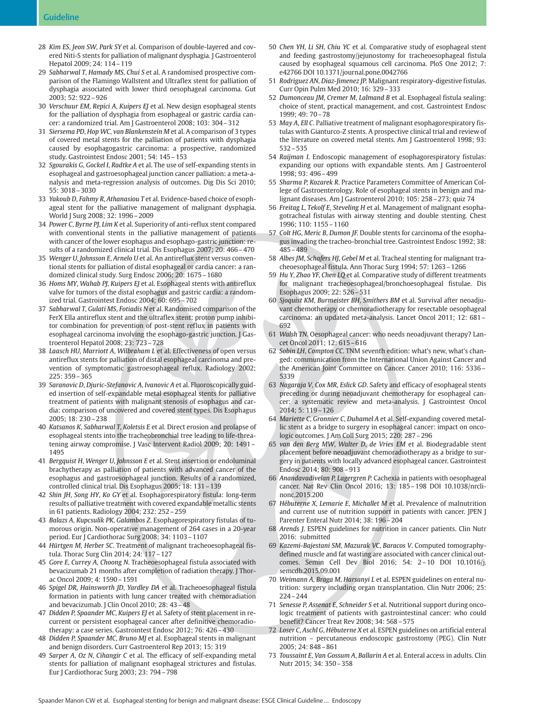- 28 Kim ES, Jeon SW, Park SY et al. Comparison of double-layered and covered Niti-S stents for palliation of malignant dysphagia. J Gastroenterol Hepatol 2009; 24: 114–119
- 29 Sabharwal T, Hamady MS, Chui S et al. A randomised prospective comparison of the Flamingo Wallstent and Ultraflex stent for palliation of dysphagia associated with lower third oesophageal carcinoma. Gut 2003; 52: 922–926
- 30 Verschuur EM, Repici A, Kuipers EJ et al. New design esophageal stents for the palliation of dysphagia from esophageal or gastric cardia cancer: a randomized trial. Am J Gastroenterol 2008; 103: 304–312
- 31 Siersema PD, Hop WC, van Blankenstein M et al. A comparison of 3 types of covered metal stents for the palliation of patients with dysphagia caused by esophagogastric carcinoma: a prospective, randomized study. Gastrointest Endosc 2001; 54: 145–153
- 32 Sgourakis G, Gockel I, Radtke A et al. The use of self-expanding stents in esophageal and gastroesophageal junction cancer palliation: a meta-analysis and meta-regression analysis of outcomes. Dig Dis Sci 2010; 55: 3018–3030
- 33 Yakoub D, Fahmy R, Athanasiou T et al. Evidence-based choice of esophageal stent for the palliative management of malignant dysphagia. World J Surg 2008; 32: 1996–2009
- 34 Power C, Byrne PJ, Lim K et al. Superiority of anti-reflux stent compared with conventional stents in the palliative management of patients with cancer of the lower esophagus and esophago-gastric junction: results of a randomized clinical trial. Dis Esophagus 2007; 20: 466–470
- 35 Wenger U, Johnsson E, Arnelo U et al. An antireflux stent versus conventional stents for palliation of distal esophageal or cardia cancer: a randomized clinical study. Surg Endosc 2006; 20: 1675–1680
- 36 Homs MY, Wahab PJ, Kuipers EJ et al. Esophageal stents with antireflux valve for tumors of the distal esophagus and gastric cardia: a randomized trial. Gastrointest Endosc 2004; 60: 695–702
- 37 Sabharwal T, Gulati MS, Fotiadis N et al. Randomised comparison of the FerX Ella antireflux stent and the ultraflex stent: proton pump inhibitor combination for prevention of post-stent reflux in patients with esophageal carcinoma involving the esophago-gastric junction. J Gastroenterol Hepatol 2008; 23: 723–728
- 38 Laasch HU, Marriott A, Wilbraham L et al. Effectiveness of open versus antireflux stents for palliation of distal esophageal carcinoma and prevention of symptomatic gastroesophageal reflux. Radiology 2002; 225: 359–365
- 39 Saranovic D, Djuric-Stefanovic A, Ivanovic A et al. Fluoroscopically guided insertion of self-expandable metal esophageal stents for palliative treatment of patients with malignant stenosis of esophagus and cardia: comparison of uncovered and covered stent types. Dis Esophagus 2005; 18: 230–238
- 40 Katsanos K, Sabharwal T, Koletsis E et al. Direct erosion and prolapse of esophageal stents into the tracheobronchial tree leading to life-threatening airway compromise. J Vasc Intervent Radiol 2009; 20: 1491– 1495
- 41 Bergquist H, Wenger U, Johnsson E et al. Stent insertion or endoluminal brachytherapy as palliation of patients with advanced cancer of the esophagus and gastroesophageal junction. Results of a randomized, controlled clinical trial. Dis Esophagus 2005; 18: 131–139
- 42 Shin JH, Song HY, Ko GY et al. Esophagorespiratory fistula: long-term results of palliative treatment with covered expandable metallic stents in 61 patients. Radiology 2004; 232: 252–259
- 43 Balazs A, Kupcsulik PK, Galambos Z. Esophagorespiratory fistulas of tumorous origin. Non-operative management of 264 cases in a 20-year period. Eur J Cardiothorac Surg 2008; 34: 1103–1107
- 44 Hürtgen M, Herber SC. Treatment of malignant tracheoesophageal fistula. Thorac Surg Clin 2014; 24: 117–127
- 45 Gore E, Currey A, Choong N. Tracheoesophageal fistula associated with bevacizumab 21 months after completion of radiation therapy. J Thorac Oncol 2009; 4: 1590–1591
- 46 Spigel DR, Hainsworth JD, Yardley DA et al. Tracheoesophageal fistula formation in patients with lung cancer treated with chemoradiation and bevacizumab. J Clin Oncol 2010; 28: 43–48
- 47 Didden P, Spaander MC, Kuipers EJ et al. Safety of stent placement in recurrent or persistent esophageal cancer after definitive chemoradiotherapy: a case series. Gastrointest Endosc 2012; 76: 426–430
- 48 Didden P, Spaander MC, Bruno MJ et al. Esophageal stents in malignant and benign disorders. Curr Gastroenterol Rep 2013; 15: 319
- 49 Sarper A, Oz N, Cihangir C et al. The efficacy of self-expanding metal stents for palliation of malignant esophageal strictures and fistulas. Eur J Cardiothorac Surg 2003; 23: 794–798
- 50 Chen YH, Li SH, Chiu YC et al. Comparative study of esophageal stent and feeding gastrostomy/jejunostomy for tracheoesophageal fistula caused by esophageal squamous cell carcinoma. PloS One 2012; 7: e42766 DOI 10.1371/journal.pone.0042766
- 51 Rodriguez AN, Diaz-Jimenez JP. Malignant respiratory-digestive fistulas. Curr Opin Pulm Med 2010; 16: 329–333
- 52 Dumonceau JM, Cremer M, Lalmand B et al. Esophageal fistula sealing: choice of stent, practical management, and cost. Gastrointest Endosc 1999; 49: 70–78
- 53 May A, Ell C. Palliative treatment of malignant esophagorespiratory fistulas with Gianturco-Z stents. A prospective clinical trial and review of the literature on covered metal stents. Am J Gastroenterol 1998; 93: 532–535
- 54 Raijman I. Endoscopic management of esophagorespiratory fistulas: expanding our options with expandable stents. Am J Gastroenterol 1998; 93: 496–499
- 55 Sharma P, Kozarek R. Practice Parameters Committee of American College of Gastroenterology. Role of esophageal stents in benign and malignant diseases. Am J Gastroenterol 2010; 105: 258–273; quiz 74
- 56 Freitag L, Tekolf E, Steveling H et al. Management of malignant esophagotracheal fistulas with airway stenting and double stenting. Chest 1996; 110: 1155–1160
- 57 Colt HG, Meric B, Dumon JF. Double stents for carcinoma of the esophagus invading the tracheo-bronchial tree. Gastrointest Endosc 1992; 38: 485–489
- 58 Albes JM, Schafers HJ, Gebel M et al. Tracheal stenting for malignant tracheoesophageal fistula. Ann Thorac Surg 1994; 57: 1263–1266
- 59 Hu Y, Zhao YF, Chen LQ et al. Comparative study of different treatments for malignant tracheoesophageal/bronchoesophageal fistulae. Dis Esophagus 2009; 22: 526–531
- 60 Sjoquist KM, Burmeister BH, Smithers BM et al. Survival after neoadjuvant chemotherapy or chemoradiotherapy for resectable oesophageal carcinoma: an updated meta-analysis. Lancet Oncol 2011; 12: 681– 692
- 61 Walsh TN. Oesophageal cancer: who needs neoadjuvant therapy? Lancet Oncol 2011; 12: 615–616
- 62 Sobin LH, Compton CC. TNM seventh edition: what's new, what's changed: communication from the International Union Against Cancer and the American Joint Committee on Cancer. Cancer 2010; 116: 5336– 5339
- 63 Nagaraja V, Cox MR, Eslick GD. Safety and efficacy of esophageal stents preceding or during neoadjuvant chemotherapy for esophageal cancer: a systematic review and meta-analysis. J Gastrointest Oncol 2014; 5: 119–126
- 64 Mariette C, Gronnier C, Duhamel A et al. Self-expanding covered metallic stent as a bridge to surgery in esophageal cancer: impact on oncologic outcomes. J Am Coll Surg 2015; 220: 287–296
- 65 van den Berg MW, Walter D, de Vries EM et al. Biodegradable stent placement before neoadjuvant chemoradiotherapy as a bridge to surgery in patients with locally advanced esophageal cancer. Gastrointest Endosc 2014; 80: 908–913
- 66 Anandavadivelan P, Lagergren P. Cachexia in patients with oesophageal cancer. Nat Rev Clin Oncol 2016; 13: 185–198 DOI 10.1038/nrclinonc.2015.200
- 67 Hébuterne X, Lemarie E, Michallet M et al. Prevalence of malnutrition and current use of nutrition support in patients with cancer. JPEN J Parenter Enteral Nutr 2014; 38: 196–204
- 68 Arends J. ESPEN guidelines for nutrition in cancer patients. Clin Nutr 2016: submitted
- 69 Kazemi-Bajestani SM, Mazurak VC, Baracos V. Computed tomographydefined muscle and fat wasting are associated with cancer clinical outcomes. Semin Cell Dev Biol 2016; 54: 2–10 DOI 10.1016/j. semcdb.2015.09.001
- 70 Weimann A, Braga M, Harsanyi L et al. ESPEN guidelines on enteral nutrition: surgery including organ transplantation. Clin Nutr 2006; 25: 224–244
- 71 Senesse P, Assenat E, Schneider S et al. Nutritional support during oncologic treatment of patients with gastrointestinal cancer: who could benefit? Cancer Treat Rev 2008; 34: 568–575
- 72 Loser C, Aschl G, Hébuterne X et al. ESPEN guidelines on artificial enteral nutrition – percutaneous endoscopic gastrostomy (PEG). Clin Nutr 2005; 24: 848–861
- 73 Toussaint E, Van Gossum A, Ballarin A et al. Enteral access in adults. Clin Nutr 2015; 34: 350–358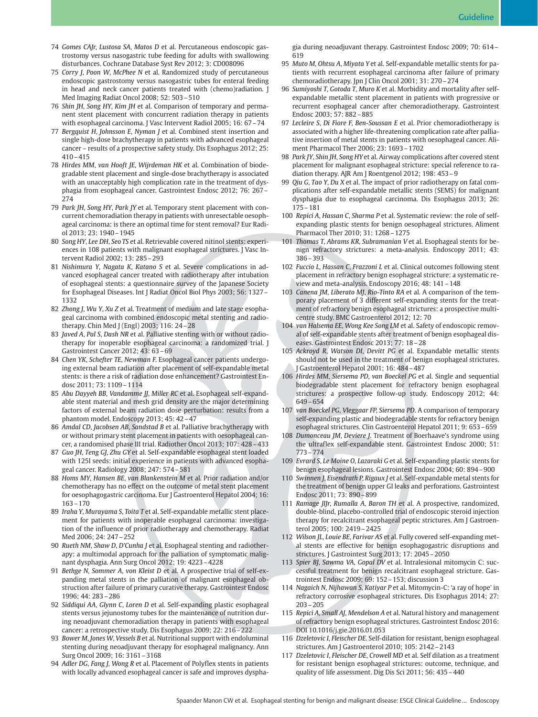- 74 Gomes CAJr, Lustosa SA, Matos D et al. Percutaneous endoscopic gastrostomy versus nasogastric tube feeding for adults with swallowing disturbances. Cochrane Database Syst Rev 2012; 3: CD008096
- 75 Corry J, Poon W, McPhee N et al. Randomized study of percutaneous endoscopic gastrostomy versus nasogastric tubes for enteral feeding in head and neck cancer patients treated with (chemo)radiation. J Med Imaging Radiat Oncol 2008; 52: 503–510
- 76 Shin JH, Song HY, Kim JH et al. Comparison of temporary and permanent stent placement with concurrent radiation therapy in patients with esophageal carcinoma. J Vasc Intervent Radiol 2005; 16: 67–74
- 77 Bergquist H, Johnsson E, Nyman J et al. Combined stent insertion and single high-dose brachytherapy in patients with advanced esophageal cancer – results of a prospective safety study. Dis Esophagus 2012; 25: 410–415
- 78 Hirdes MM, van Hooft JE, Wijrdeman HK et al. Combination of biodegradable stent placement and single-dose brachytherapy is associated with an unacceptably high complication rate in the treatment of dysphagia from esophageal cancer. Gastrointest Endosc 2012; 76: 267– 274
- 79 Park JH, Song HY, Park JY et al. Temporary stent placement with concurrent chemoradiation therapy in patients with unresectable oesophageal carcinoma: is there an optimal time for stent removal? Eur Radiol 2013; 23: 1940–1945
- 80 Song HY, Lee DH, Seo TS et al. Retrievable covered nitinol stents: experiences in 108 patients with malignant esophageal strictures. J Vasc Intervent Radiol 2002; 13: 285–293
- 81 Nishimura Y, Nagata K, Katano S et al. Severe complications in advanced esophageal cancer treated with radiotherapy after intubation of esophageal stents: a questionnaire survey of the Japanese Society for Esophageal Diseases. Int J Radiat Oncol Biol Phys 2003; 56: 1327– 1332
- 82 Zhong J, Wu Y, Xu Z et al. Treatment of medium and late stage esophageal carcinoma with combined endoscopic metal stenting and radiotherapy. Chin Med J (Engl) 2003; 116: 24–28
- 83 Javed A, Pal S, Dash NR et al. Palliative stenting with or without radiotherapy for inoperable esophageal carcinoma: a randomized trial. J Gastrointest Cancer 2012; 43: 63–69
- 84 Chen YK, Schefter TE, Newman F. Esophageal cancer patients undergoing external beam radiation after placement of self-expandable metal stents: is there a risk of radiation dose enhancement? Gastrointest Endosc 2011; 73: 1109–1114
- 85 Abu Dayyeh BB, Vandamme JJ, Miller RC et al. Esophageal self-expandable stent material and mesh grid density are the major determining factors of external beam radiation dose perturbation: results from a phantom model. Endoscopy 2013; 45: 42–47
- 86 Amdal CD, Jacobsen AB, Sandstad B et al. Palliative brachytherapy with or without primary stent placement in patients with oesophageal cancer, a randomised phase III trial. Radiother Oncol 2013; 107: 428–433
- 87 Guo JH, Teng GJ, Zhu GY et al. Self-expandable esophageal stent loaded with 125I seeds: initial experience in patients with advanced esophageal cancer. Radiology 2008; 247: 574–581
- 88 Homs MY, Hansen BE, van Blankenstein M et al. Prior radiation and/or chemotherapy has no effect on the outcome of metal stent placement for oesophagogastric carcinoma. Eur J Gastroenterol Hepatol 2004; 16: 163–170
- 89 Iraha Y, Murayama S, Toita T et al. Self-expandable metallic stent placement for patients with inoperable esophageal carcinoma: investigation of the influence of prior radiotherapy and chemotherapy. Radiat Med 2006; 24: 247–252
- 90 Rueth NM, Shaw D, D'Cunha J et al. Esophageal stenting and radiotherapy: a multimodal approach for the palliation of symptomatic malignant dysphagia. Ann Surg Oncol 2012; 19: 4223–4228
- 91 Bethge N, Sommer A, von Kleist D et al. A prospective trial of self-expanding metal stents in the palliation of malignant esophageal obstruction after failure of primary curative therapy. Gastrointest Endosc 1996; 44: 283–286
- 92 Siddiqui AA, Glynn C, Loren D et al. Self-expanding plastic esophageal stents versus jejunostomy tubes for the maintenance of nutrition during neoadjuvant chemoradiation therapy in patients with esophageal cancer: a retrospective study. Dis Esophagus 2009; 22: 216–222
- 93 Bower M, Jones W, Vessels B et al. Nutritional support with endoluminal stenting during neoadjuvant therapy for esophageal malignancy. Ann Surg Oncol 2009; 16: 3161–3168
- 94 Adler DG, Fang J, Wong R et al. Placement of Polyflex stents in patients with locally advanced esophageal cancer is safe and improves dyspha-

gia during neoadjuvant therapy. Gastrointest Endosc 2009; 70: 614–  $619$ 

- 95 Muto M, Ohtsu A, Miyata Y et al. Self-expandable metallic stents for patients with recurrent esophageal carcinoma after failure of primary chemoradiotherapy. Jpn J Clin Oncol 2001; 31: 270–274
- 96 Sumiyoshi T, Gotoda T, Muro K et al. Morbidity and mortality after selfexpandable metallic stent placement in patients with progressive or recurrent esophageal cancer after chemoradiotherapy. Gastrointest Endosc 2003; 57: 882–885
- 97 Lecleire S, Di Fiore F, Ben-Soussan E et al. Prior chemoradiotherapy is associated with a higher life-threatening complication rate after palliative insertion of metal stents in patients with oesophageal cancer. Aliment Pharmacol Ther 2006; 23: 1693–1702
- 98 Park JY, Shin JH, Song HY et al. Airway complications after covered stent placement for malignant esophageal stricture: special reference to radiation therapy. AJR Am J Roentgenol 2012; 198: 453–9
- 99 Qiu G, Tao Y, Du X et al. The impact of prior radiotherapy on fatal complications after self-expandable metallic stents (SEMS) for malignant dysphagia due to esophageal carcinoma. Dis Esophagus 2013; 26: 175–181
- 100 Repici A, Hassan C, Sharma P et al. Systematic review: the role of selfexpanding plastic stents for benign oesophageal strictures. Aliment Pharmacol Ther 2010; 31: 1268–1275
- 101 Thomas T, Abrams KR, Subramanian V et al. Esophageal stents for benign refractory strictures: a meta-analysis. Endoscopy 2011; 43: 386–393
- 102 Fuccio L, Hassan C, Frazzoni L et al. Clinical outcomes following stent placement in refractory benign esophageal stricture: a systematic review and meta-analysis. Endoscopy 2016; 48: 141–148
- 103 Canena JM, Liberato MJ, Rio-Tinto RA et al. A comparison of the temporary placement of 3 different self-expanding stents for the treatment of refractory benign esophageal strictures: a prospective multicentre study. BMC Gastroenterol 2012; 12: 70
- 104 van Halsema EE, Wong Kee Song LM et al. Safety of endoscopic removal of self-expandable stents after treatment of benign esophageal diseases. Gastrointest Endosc 2013; 77: 18–28
- 105 Ackroyd R, Watson DI, Devitt PG et al. Expandable metallic stents should not be used in the treatment of benign esophageal strictures. J Gastroenterol Hepatol 2001; 16: 484–487
- 106 Hirdes MM, Siersema PD, van Boeckel PG et al. Single and sequential biodegradable stent placement for refractory benign esophageal strictures: a prospective follow-up study. Endoscopy 2012; 44: 649–654
- 107 van Boeckel PG, Vleggaar FP, Siersema PD. A comparison of temporary self-expanding plastic and biodegradable stents for refractory benign esophageal strictures. Clin Gastroenterol Hepatol 2011; 9: 653–659
- 108 Dumonceau JM, Deviere J. Treatment of Boerhaave's syndrome using the ultraflex self-expandable stent. Gastrointest Endosc 2000; 51: 773–774
- 109 Evrard S, Le Moine O, Lazaraki G et al. Self-expanding plastic stents for benign esophageal lesions. Gastrointest Endosc 2004; 60: 894–900
- 110 Swinnen J, Eisendrath P, Rigaux J et al. Self-expandable metal stents for the treatment of benign upper GI leaks and perforations. Gastrointest Endosc 2011; 73: 890–899
- 111 Ramage JIJr, Rumalla A, Baron TH et al. A prospective, randomized, double-blind, placebo-controlled trial of endoscopic steroid injection therapy for recalcitrant esophageal peptic strictures. Am J Gastroenterol 2005; 100: 2419–2425
- 112 Wilson JL, Louie BE, Farivar AS et al. Fully covered self-expanding metal stents are effective for benign esophagogastric disruptions and strictures. J Gastrointest Surg 2013; 17: 2045–2050
- 113 Spier BJ, Sawma VA, Gopal DV et al. Intralesional mitomycin C: successful treatment for benign recalcitrant esophageal stricture. Gastrointest Endosc 2009; 69: 152–153; discussion 3
- 114 Nagaich N, Nijhawan S, Katiyar P et al. Mitomycin-C: 'a ray of hope' in refractory corrosive esophageal strictures. Dis Esophagus 2014; 27: 203–205
- 115 Repici A, Small AJ, Mendelson A et al. Natural history and management of refractory benign esophageal strictures. Gastrointest Endosc 2016: DOI 10.1016/j.gie.2016.01.053
- 116 Dzeletovic I, Fleischer DE. Self-dilation for resistant, benign esophageal strictures. Am J Gastroenterol 2010; 105: 2142–2143
- 117 Dzeletovic I, Fleischer DE, Crowell MD et al. Self dilation as a treatment for resistant benign esophageal strictures: outcome, technique, and quality of life assessment. Dig Dis Sci 2011; 56: 435–440